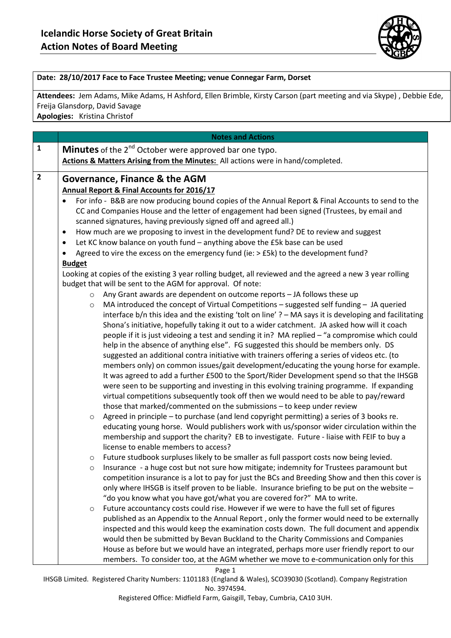

## **Date: 28/10/2017 Face to Face Trustee Meeting; venue Connegar Farm, Dorset**

**Attendees:** Jem Adams, Mike Adams, H Ashford, Ellen Brimble, Kirsty Carson (part meeting and via Skype) , Debbie Ede, Freija Glansdorp, David Savage

**Apologies:** Kristina Christof

|                | <b>Notes and Actions</b>                                                                                                                                                                         |
|----------------|--------------------------------------------------------------------------------------------------------------------------------------------------------------------------------------------------|
| $\mathbf{1}$   | Minutes of the 2 <sup>nd</sup> October were approved bar one typo.                                                                                                                               |
|                | Actions & Matters Arising from the Minutes: All actions were in hand/completed.                                                                                                                  |
| $\overline{2}$ |                                                                                                                                                                                                  |
|                | <b>Governance, Finance &amp; the AGM</b>                                                                                                                                                         |
|                | <b>Annual Report &amp; Final Accounts for 2016/17</b>                                                                                                                                            |
|                | For info - B&B are now producing bound copies of the Annual Report & Final Accounts to send to the                                                                                               |
|                | CC and Companies House and the letter of engagement had been signed (Trustees, by email and                                                                                                      |
|                | scanned signatures, having previously signed off and agreed all.)                                                                                                                                |
|                | How much are we proposing to invest in the development fund? DE to review and suggest<br>$\bullet$                                                                                               |
|                | Let KC know balance on youth fund - anything above the £5k base can be used<br>$\bullet$                                                                                                         |
|                | Agreed to vire the excess on the emergency fund (ie: $>$ £5k) to the development fund?<br>$\bullet$                                                                                              |
|                | <b>Budget</b><br>Looking at copies of the existing 3 year rolling budget, all reviewed and the agreed a new 3 year rolling                                                                       |
|                | budget that will be sent to the AGM for approval. Of note:                                                                                                                                       |
|                | Any Grant awards are dependent on outcome reports - JA follows these up<br>$\circ$                                                                                                               |
|                | MA introduced the concept of Virtual Competitions $-$ suggested self funding $-$ JA queried<br>$\circ$                                                                                           |
|                | interface $b/n$ this idea and the existing 'tolt on line' $? - MA$ says it is developing and facilitating                                                                                        |
|                | Shona's initiative, hopefully taking it out to a wider catchment. JA asked how will it coach                                                                                                     |
|                | people if it is just videoing a test and sending it in? MA replied - "a compromise which could                                                                                                   |
|                | help in the absence of anything else". FG suggested this should be members only. DS                                                                                                              |
|                | suggested an additional contra initiative with trainers offering a series of videos etc. (to                                                                                                     |
|                | members only) on common issues/gait development/educating the young horse for example.                                                                                                           |
|                | It was agreed to add a further £500 to the Sport/Rider Development spend so that the IHSGB                                                                                                       |
|                | were seen to be supporting and investing in this evolving training programme. If expanding                                                                                                       |
|                | virtual competitions subsequently took off then we would need to be able to pay/reward                                                                                                           |
|                | those that marked/commented on the submissions - to keep under review                                                                                                                            |
|                | Agreed in principle – to purchase (and lend copyright permitting) a series of 3 books re.<br>$\circ$                                                                                             |
|                | educating young horse. Would publishers work with us/sponsor wider circulation within the                                                                                                        |
|                | membership and support the charity? EB to investigate. Future - liaise with FEIF to buy a                                                                                                        |
|                | license to enable members to access?                                                                                                                                                             |
|                | Future studbook surpluses likely to be smaller as full passport costs now being levied.<br>$\circ$                                                                                               |
|                | Insurance - a huge cost but not sure how mitigate; indemnity for Trustees paramount but<br>$\circ$                                                                                               |
|                | competition insurance is a lot to pay for just the BCs and Breeding Show and then this cover is<br>only where IHSGB is itself proven to be liable. Insurance briefing to be put on the website - |
|                | "do you know what you have got/what you are covered for?" MA to write.                                                                                                                           |
|                | Future accountancy costs could rise. However if we were to have the full set of figures<br>$\circ$                                                                                               |
|                | published as an Appendix to the Annual Report, only the former would need to be externally                                                                                                       |
|                | inspected and this would keep the examination costs down. The full document and appendix                                                                                                         |
|                | would then be submitted by Bevan Buckland to the Charity Commissions and Companies                                                                                                               |
|                | House as before but we would have an integrated, perhaps more user friendly report to our                                                                                                        |
|                | members. To consider too, at the AGM whether we move to e-communication only for this                                                                                                            |

Page 1

IHSGB Limited. Registered Charity Numbers: 1101183 (England & Wales), SCO39030 (Scotland). Company Registration No. 3974594.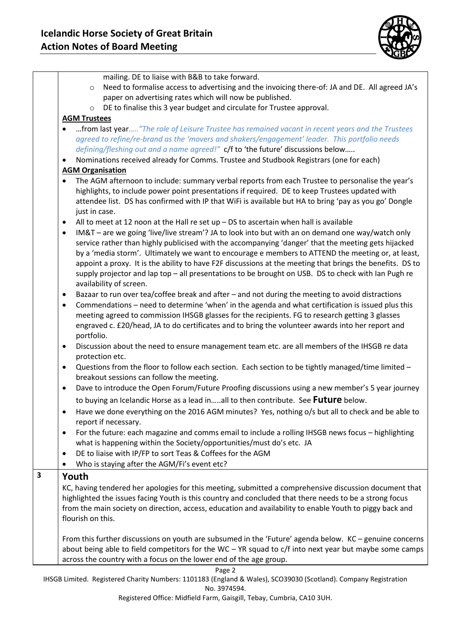

|   | mailing. DE to liaise with B&B to take forward.                                                                 |
|---|-----------------------------------------------------------------------------------------------------------------|
|   | Need to formalise access to advertising and the invoicing there-of: JA and DE. All agreed JA's<br>$\circ$       |
|   | paper on advertising rates which will now be published.                                                         |
|   | DE to finalise this 3 year budget and circulate for Trustee approval.<br>$\circ$                                |
|   | <b>AGM Trustees</b>                                                                                             |
|   | from last year"The role of Leisure Trustee has remained vacant in recent years and the Trustees<br>$\bullet$    |
|   | agreed to refine/re-brand as the 'movers and shakers/engagement' leader. This portfolio needs                   |
|   | defining/fleshing out and a name agreed!" c/f to 'the future' discussions below                                 |
|   | Nominations received already for Comms. Trustee and Studbook Registrars (one for each)<br>$\bullet$             |
|   | <b>AGM Organisation</b>                                                                                         |
|   | The AGM afternoon to include: summary verbal reports from each Trustee to personalise the year's<br>$\bullet$   |
|   | highlights, to include power point presentations if required. DE to keep Trustees updated with                  |
|   | attendee list. DS has confirmed with IP that WiFi is available but HA to bring 'pay as you go' Dongle           |
|   | just in case.                                                                                                   |
|   | All to meet at 12 noon at the Hall re set up - DS to ascertain when hall is available<br>$\bullet$              |
|   | IM&T – are we going 'live/live stream'? JA to look into but with an on demand one way/watch only<br>٠           |
|   | service rather than highly publicised with the accompanying 'danger' that the meeting gets hijacked             |
|   | by a 'media storm'. Ultimately we want to encourage e members to ATTEND the meeting or, at least,               |
|   | appoint a proxy. It is the ability to have F2F discussions at the meeting that brings the benefits. DS to       |
|   | supply projector and lap top - all presentations to be brought on USB. DS to check with lan Pugh re             |
|   | availability of screen.                                                                                         |
|   | Bazaar to run over tea/coffee break and after - and not during the meeting to avoid distractions<br>$\bullet$   |
|   | Commendations - need to determine 'when' in the agenda and what certification is issued plus this<br>$\bullet$  |
|   | meeting agreed to commission IHSGB glasses for the recipients. FG to research getting 3 glasses                 |
|   | engraved c. £20/head, JA to do certificates and to bring the volunteer awards into her report and               |
|   | portfolio.                                                                                                      |
|   | Discussion about the need to ensure management team etc. are all members of the IHSGB re data<br>$\bullet$      |
|   | protection etc.                                                                                                 |
|   | Questions from the floor to follow each section. Each section to be tightly managed/time limited -<br>$\bullet$ |
|   | breakout sessions can follow the meeting.                                                                       |
|   | Dave to introduce the Open Forum/Future Proofing discussions using a new member's 5 year journey<br>$\bullet$   |
|   | to buying an Icelandic Horse as a lead inall to then contribute. See Future below.                              |
|   |                                                                                                                 |
|   | Have we done everything on the 2016 AGM minutes? Yes, nothing o/s but all to check and be able to               |
|   | report if necessary.                                                                                            |
|   | For the future: each magazine and comms email to include a rolling IHSGB news focus - highlighting<br>$\bullet$ |
|   | what is happening within the Society/opportunities/must do's etc. JA                                            |
|   | DE to liaise with IP/FP to sort Teas & Coffees for the AGM<br>٠                                                 |
|   | Who is staying after the AGM/Fi's event etc?<br>٠                                                               |
| 3 | Youth                                                                                                           |
|   | KC, having tendered her apologies for this meeting, submitted a comprehensive discussion document that          |
|   | highlighted the issues facing Youth is this country and concluded that there needs to be a strong focus         |
|   | from the main society on direction, access, education and availability to enable Youth to piggy back and        |
|   | flourish on this.                                                                                               |
|   |                                                                                                                 |
|   | From this further discussions on youth are subsumed in the 'Future' agenda below. KC - genuine concerns         |
|   | about being able to field competitors for the WC - YR squad to c/f into next year but maybe some camps          |
|   | across the country with a focus on the lower end of the age group.                                              |
|   | Page 2                                                                                                          |

IHSGB Limited. Registered Charity Numbers: 1101183 (England & Wales), SCO39030 (Scotland). Company Registration No. 3974594.

Registered Office: Midfield Farm, Gaisgill, Tebay, Cumbria, CA10 3UH.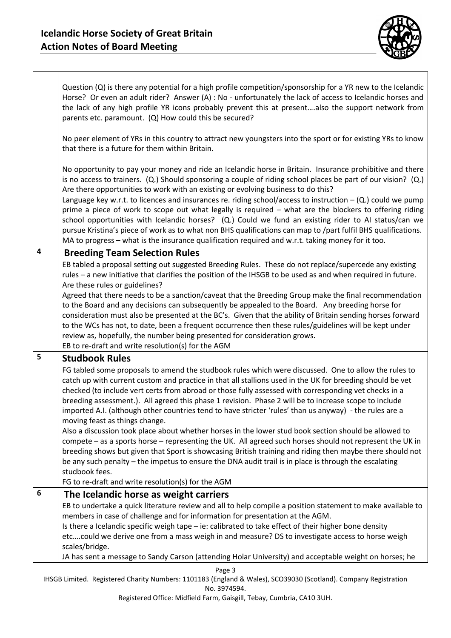

|                         | Question $(Q)$ is there any potential for a high profile competition/sponsorship for a YR new to the Icelandic<br>Horse? Or even an adult rider? Answer (A) : No - unfortunately the lack of access to Icelandic horses and<br>the lack of any high profile YR icons probably prevent this at presentalso the support network from<br>parents etc. paramount. (Q) How could this be secured?                                                                                                                                                                                                                                                                                                                                                                                                                                                                            |
|-------------------------|-------------------------------------------------------------------------------------------------------------------------------------------------------------------------------------------------------------------------------------------------------------------------------------------------------------------------------------------------------------------------------------------------------------------------------------------------------------------------------------------------------------------------------------------------------------------------------------------------------------------------------------------------------------------------------------------------------------------------------------------------------------------------------------------------------------------------------------------------------------------------|
|                         | No peer element of YRs in this country to attract new youngsters into the sport or for existing YRs to know<br>that there is a future for them within Britain.                                                                                                                                                                                                                                                                                                                                                                                                                                                                                                                                                                                                                                                                                                          |
|                         | No opportunity to pay your money and ride an Icelandic horse in Britain. Insurance prohibitive and there<br>is no access to trainers. (Q.) Should sponsoring a couple of riding school places be part of our vision? (Q.)<br>Are there opportunities to work with an existing or evolving business to do this?<br>Language key w.r.t. to licences and insurances re. riding school/access to instruction $-$ (Q.) could we pump<br>prime a piece of work to scope out what legally is required - what are the blockers to offering riding<br>school opportunities with Icelandic horses? (Q.) Could we fund an existing rider to AI status/can we<br>pursue Kristina's piece of work as to what non BHS qualifications can map to /part fulfil BHS qualifications.<br>MA to progress - what is the insurance qualification required and w.r.t. taking money for it too. |
| $\overline{\mathbf{4}}$ | <b>Breeding Team Selection Rules</b>                                                                                                                                                                                                                                                                                                                                                                                                                                                                                                                                                                                                                                                                                                                                                                                                                                    |
|                         | EB tabled a proposal setting out suggested Breeding Rules. These do not replace/supercede any existing<br>rules - a new initiative that clarifies the position of the IHSGB to be used as and when required in future.<br>Are these rules or guidelines?                                                                                                                                                                                                                                                                                                                                                                                                                                                                                                                                                                                                                |
|                         | Agreed that there needs to be a sanction/caveat that the Breeding Group make the final recommendation<br>to the Board and any decisions can subsequently be appealed to the Board. Any breeding horse for<br>consideration must also be presented at the BC's. Given that the ability of Britain sending horses forward<br>to the WCs has not, to date, been a frequent occurrence then these rules/guidelines will be kept under<br>review as, hopefully, the number being presented for consideration grows.<br>EB to re-draft and write resolution(s) for the AGM                                                                                                                                                                                                                                                                                                    |
| 5                       | <b>Studbook Rules</b>                                                                                                                                                                                                                                                                                                                                                                                                                                                                                                                                                                                                                                                                                                                                                                                                                                                   |
|                         | FG tabled some proposals to amend the studbook rules which were discussed. One to allow the rules to<br>catch up with current custom and practice in that all stallions used in the UK for breeding should be vet<br>checked (to include vert certs from abroad or those fully assessed with corresponding vet checks in a<br>breeding assessment.). All agreed this phase 1 revision. Phase 2 will be to increase scope to include<br>imported A.I. (although other countries tend to have stricter 'rules' than us anyway) - the rules are a<br>moving feast as things change.                                                                                                                                                                                                                                                                                        |
|                         | Also a discussion took place about whether horses in the lower stud book section should be allowed to<br>compete - as a sports horse - representing the UK. All agreed such horses should not represent the UK in<br>breeding shows but given that Sport is showcasing British training and riding then maybe there should not<br>be any such penalty - the impetus to ensure the DNA audit trail is in place is through the escalating<br>studbook fees.<br>FG to re-draft and write resolution(s) for the AGM                                                                                                                                                                                                                                                                                                                                                         |
| 6                       |                                                                                                                                                                                                                                                                                                                                                                                                                                                                                                                                                                                                                                                                                                                                                                                                                                                                         |
|                         | The Icelandic horse as weight carriers<br>EB to undertake a quick literature review and all to help compile a position statement to make available to<br>members in case of challenge and for information for presentation at the AGM.<br>Is there a Icelandic specific weigh tape - ie: calibrated to take effect of their higher bone density<br>etccould we derive one from a mass weigh in and measure? DS to investigate access to horse weigh<br>scales/bridge.                                                                                                                                                                                                                                                                                                                                                                                                   |
|                         | JA has sent a message to Sandy Carson (attending Holar University) and acceptable weight on horses; he                                                                                                                                                                                                                                                                                                                                                                                                                                                                                                                                                                                                                                                                                                                                                                  |
|                         | Page 3                                                                                                                                                                                                                                                                                                                                                                                                                                                                                                                                                                                                                                                                                                                                                                                                                                                                  |

IHSGB Limited. Registered Charity Numbers: 1101183 (England & Wales), SCO39030 (Scotland). Company Registration No. 3974594.

Registered Office: Midfield Farm, Gaisgill, Tebay, Cumbria, CA10 3UH.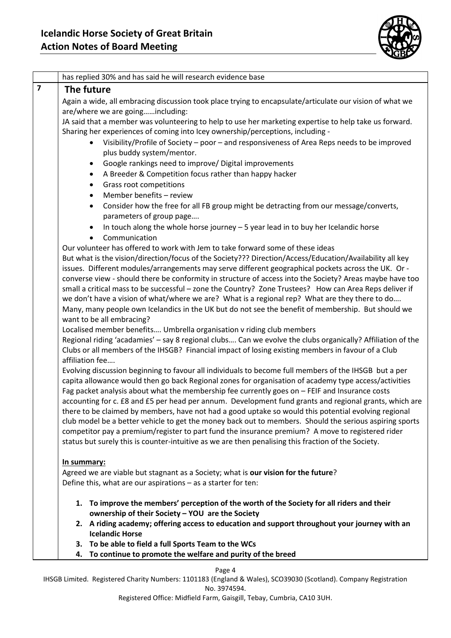

|                         | has replied 30% and has said he will research evidence base                                                                                                                                                     |
|-------------------------|-----------------------------------------------------------------------------------------------------------------------------------------------------------------------------------------------------------------|
| $\overline{\mathbf{z}}$ | The future                                                                                                                                                                                                      |
|                         | Again a wide, all embracing discussion took place trying to encapsulate/articulate our vision of what we                                                                                                        |
|                         | are/where we are goingincluding:                                                                                                                                                                                |
|                         | JA said that a member was volunteering to help to use her marketing expertise to help take us forward.                                                                                                          |
|                         | Sharing her experiences of coming into Icey ownership/perceptions, including -                                                                                                                                  |
|                         | Visibility/Profile of Society - poor - and responsiveness of Area Reps needs to be improved                                                                                                                     |
|                         | plus buddy system/mentor.                                                                                                                                                                                       |
|                         | Google rankings need to improve/ Digital improvements<br>$\bullet$                                                                                                                                              |
|                         | A Breeder & Competition focus rather than happy hacker<br>$\bullet$                                                                                                                                             |
|                         | Grass root competitions<br>$\bullet$                                                                                                                                                                            |
|                         | Member benefits - review                                                                                                                                                                                        |
|                         | Consider how the free for all FB group might be detracting from our message/converts,<br>$\bullet$                                                                                                              |
|                         | parameters of group page                                                                                                                                                                                        |
|                         | In touch along the whole horse journey $-5$ year lead in to buy her Icelandic horse                                                                                                                             |
|                         | Communication<br>$\bullet$                                                                                                                                                                                      |
|                         | Our volunteer has offered to work with Jem to take forward some of these ideas                                                                                                                                  |
|                         | But what is the vision/direction/focus of the Society??? Direction/Access/Education/Availability all key                                                                                                        |
|                         | issues. Different modules/arrangements may serve different geographical pockets across the UK. Or -                                                                                                             |
|                         | converse view - should there be conformity in structure of access into the Society? Areas maybe have too                                                                                                        |
|                         | small a critical mass to be successful - zone the Country? Zone Trustees? How can Area Reps deliver if                                                                                                          |
|                         | we don't have a vision of what/where we are? What is a regional rep? What are they there to do                                                                                                                  |
|                         | Many, many people own Icelandics in the UK but do not see the benefit of membership. But should we                                                                                                              |
|                         | want to be all embracing?                                                                                                                                                                                       |
|                         | Localised member benefits Umbrella organisation v riding club members                                                                                                                                           |
|                         | Regional riding 'acadamies' - say 8 regional clubs Can we evolve the clubs organically? Affiliation of the                                                                                                      |
|                         | Clubs or all members of the IHSGB? Financial impact of losing existing members in favour of a Club                                                                                                              |
|                         | affiliation fee                                                                                                                                                                                                 |
|                         | Evolving discussion beginning to favour all individuals to become full members of the IHSGB but a per                                                                                                           |
|                         | capita allowance would then go back Regional zones for organisation of academy type access/activities                                                                                                           |
|                         | Fag packet analysis about what the membership fee currently goes on - FEIF and Insurance costs                                                                                                                  |
|                         | accounting for c. £8 and £5 per head per annum. Development fund grants and regional grants, which are                                                                                                          |
|                         | there to be claimed by members, have not had a good uptake so would this potential evolving regional<br>club model be a better vehicle to get the money back out to members. Should the serious aspiring sports |
|                         | competitor pay a premium/register to part fund the insurance premium? A move to registered rider                                                                                                                |
|                         | status but surely this is counter-intuitive as we are then penalising this fraction of the Society.                                                                                                             |
|                         |                                                                                                                                                                                                                 |
|                         | <u>In summary:</u>                                                                                                                                                                                              |
|                         | Agreed we are viable but stagnant as a Society; what is our vision for the future?                                                                                                                              |
|                         | Define this, what are our aspirations - as a starter for ten:                                                                                                                                                   |
|                         |                                                                                                                                                                                                                 |
|                         | 1. To improve the members' perception of the worth of the Society for all riders and their                                                                                                                      |
|                         | ownership of their Society - YOU are the Society                                                                                                                                                                |
|                         | 2. A riding academy; offering access to education and support throughout your journey with an                                                                                                                   |
|                         | <b>Icelandic Horse</b>                                                                                                                                                                                          |
|                         | 3. To be able to field a full Sports Team to the WCs                                                                                                                                                            |
|                         | To continue to promote the welfare and purity of the breed<br>4.                                                                                                                                                |
|                         |                                                                                                                                                                                                                 |

Page 4

IHSGB Limited. Registered Charity Numbers: 1101183 (England & Wales), SCO39030 (Scotland). Company Registration No. 3974594.